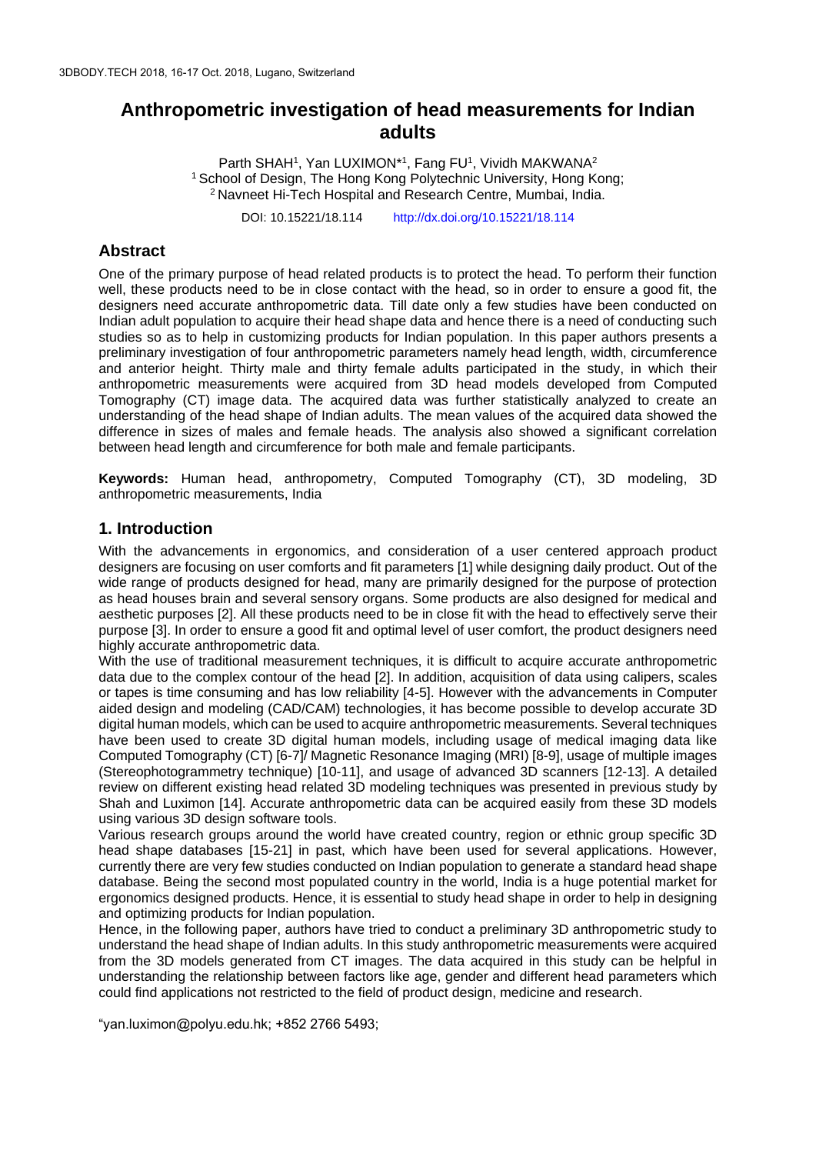# **Anthropometric investigation of head measurements for Indian adults**

Parth SHAH<sup>1</sup>, Yan LUXIMON<sup>\*1</sup>, Fang FU<sup>1</sup>, Vividh MAKWANA<sup>2</sup> <sup>1</sup> School of Design, The Hong Kong Polytechnic University, Hong Kong; <sup>2</sup>Navneet Hi-Tech Hospital and Research Centre, Mumbai, India.

DOI: 10.15221/18.114 http://dx.doi.org/10.15221/18.114

## **Abstract**

One of the primary purpose of head related products is to protect the head. To perform their function well, these products need to be in close contact with the head, so in order to ensure a good fit, the designers need accurate anthropometric data. Till date only a few studies have been conducted on Indian adult population to acquire their head shape data and hence there is a need of conducting such studies so as to help in customizing products for Indian population. In this paper authors presents a preliminary investigation of four anthropometric parameters namely head length, width, circumference and anterior height. Thirty male and thirty female adults participated in the study, in which their anthropometric measurements were acquired from 3D head models developed from Computed Tomography (CT) image data. The acquired data was further statistically analyzed to create an understanding of the head shape of Indian adults. The mean values of the acquired data showed the difference in sizes of males and female heads. The analysis also showed a significant correlation between head length and circumference for both male and female participants.

**Keywords:** Human head, anthropometry, Computed Tomography (CT), 3D modeling, 3D anthropometric measurements, India

### **1. Introduction**

With the advancements in ergonomics, and consideration of a user centered approach product designers are focusing on user comforts and fit parameters [1] while designing daily product. Out of the wide range of products designed for head, many are primarily designed for the purpose of protection as head houses brain and several sensory organs. Some products are also designed for medical and aesthetic purposes [2]. All these products need to be in close fit with the head to effectively serve their purpose [3]. In order to ensure a good fit and optimal level of user comfort, the product designers need highly accurate anthropometric data.

With the use of traditional measurement techniques, it is difficult to acquire accurate anthropometric data due to the complex contour of the head [2]. In addition, acquisition of data using calipers, scales or tapes is time consuming and has low reliability [4-5]. However with the advancements in Computer aided design and modeling (CAD/CAM) technologies, it has become possible to develop accurate 3D digital human models, which can be used to acquire anthropometric measurements. Several techniques have been used to create 3D digital human models, including usage of medical imaging data like Computed Tomography (CT) [6-7]/ Magnetic Resonance Imaging (MRI) [8-9], usage of multiple images (Stereophotogrammetry technique) [10-11], and usage of advanced 3D scanners [12-13]. A detailed review on different existing head related 3D modeling techniques was presented in previous study by Shah and Luximon [14]. Accurate anthropometric data can be acquired easily from these 3D models using various 3D design software tools.

Various research groups around the world have created country, region or ethnic group specific 3D head shape databases [15-21] in past, which have been used for several applications. However, currently there are very few studies conducted on Indian population to generate a standard head shape database. Being the second most populated country in the world, India is a huge potential market for ergonomics designed products. Hence, it is essential to study head shape in order to help in designing and optimizing products for Indian population.

Hence, in the following paper, authors have tried to conduct a preliminary 3D anthropometric study to understand the head shape of Indian adults. In this study anthropometric measurements were acquired from the 3D models generated from CT images. The data acquired in this study can be helpful in understanding the relationship between factors like age, gender and different head parameters which could find applications not restricted to the field of product design, medicine and research.

"yan.luximon@polyu.edu.hk; +852 2766 5493;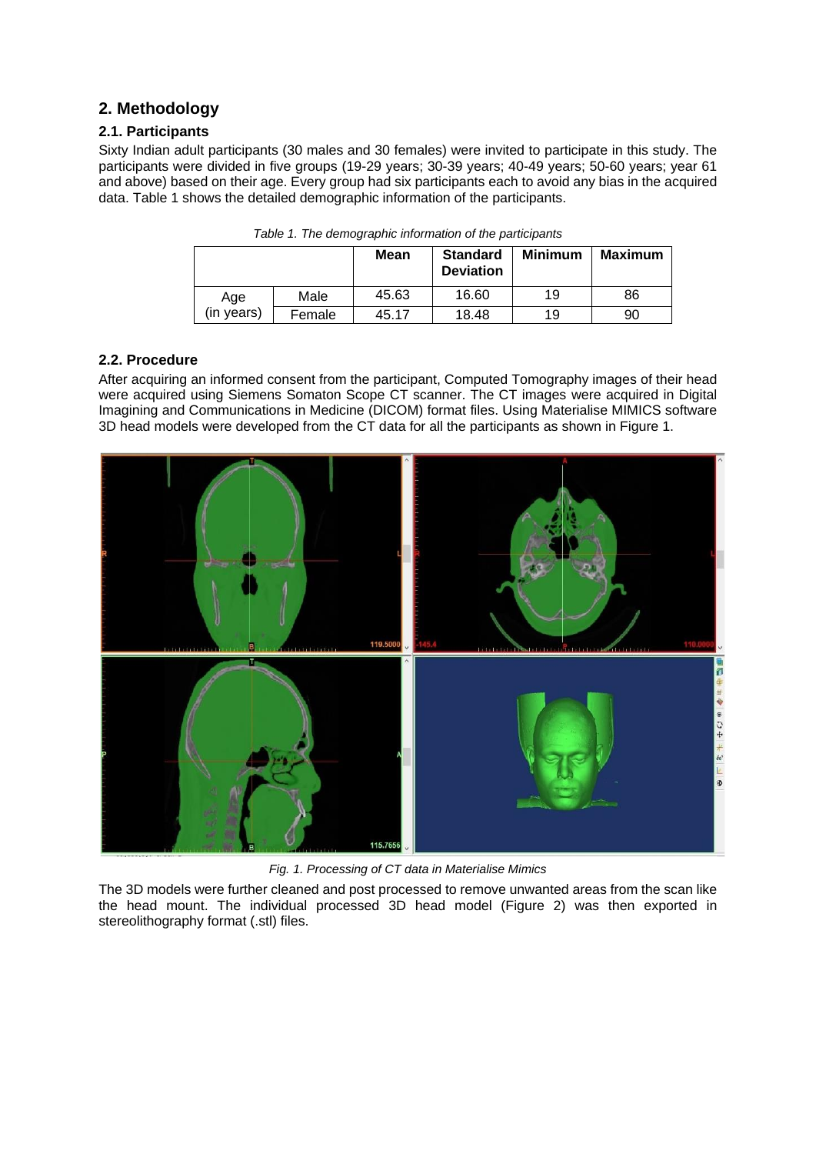## **2. Methodology**

#### **2.1. Participants**

Sixty Indian adult participants (30 males and 30 females) were invited to participate in this study. The participants were divided in five groups (19-29 years; 30-39 years; 40-49 years; 50-60 years; year 61 and above) based on their age. Every group had six participants each to avoid any bias in the acquired data. Table 1 shows the detailed demographic information of the participants.

|            |        | Mean  | <b>Standard</b><br><b>Deviation</b> | <b>Minimum</b> | <b>Maximum</b> |
|------------|--------|-------|-------------------------------------|----------------|----------------|
| Age        | Male   | 45.63 | 16.60                               | 19             | 86             |
| (in vears) | Female | 45.17 | 18.48                               | 19             | 90             |

*Table 1. The demographic information of the participants*

#### **2.2. Procedure**

After acquiring an informed consent from the participant, Computed Tomography images of their head were acquired using Siemens Somaton Scope CT scanner. The CT images were acquired in Digital Imagining and Communications in Medicine (DICOM) format files. Using Materialise MIMICS software 3D head models were developed from the CT data for all the participants as shown in Figure 1.



*Fig. 1. Processing of CT data in Materialise Mimics*

The 3D models were further cleaned and post processed to remove unwanted areas from the scan like the head mount. The individual processed 3D head model (Figure 2) was then exported in stereolithography format (.stl) files.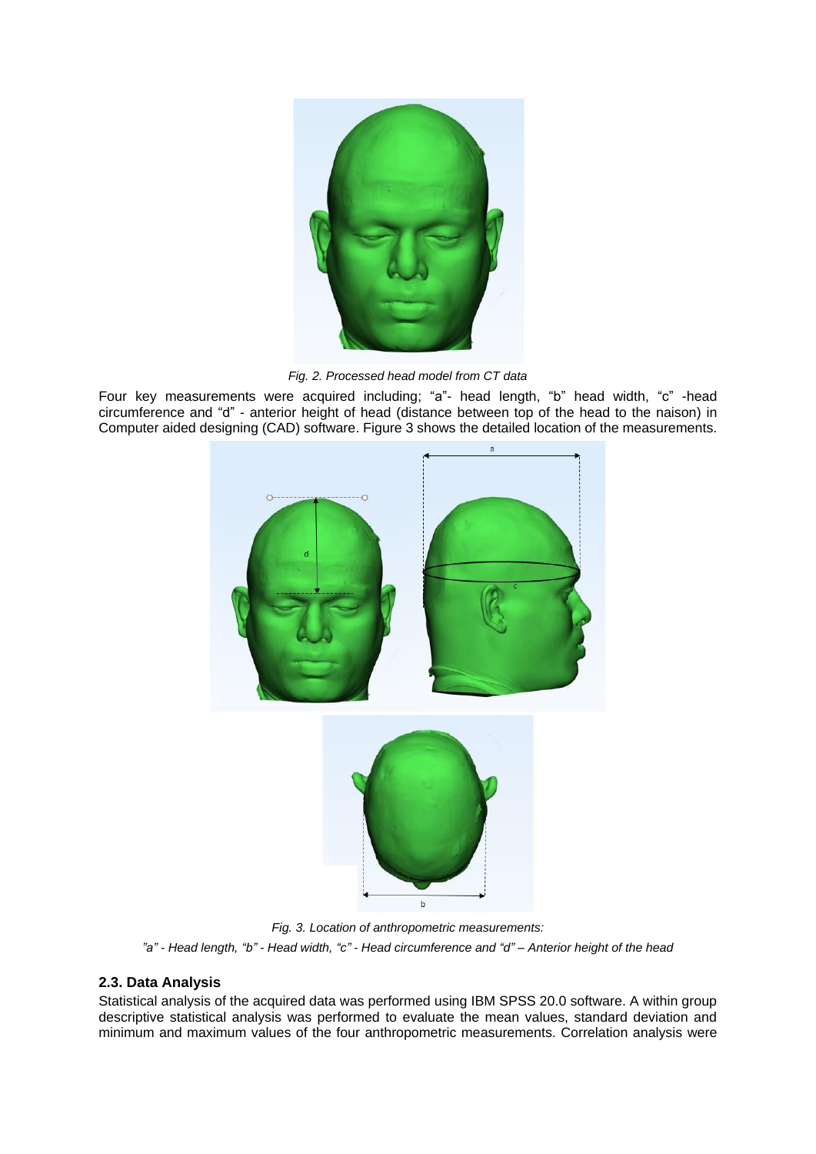

*Fig. 2. Processed head model from CT data*

Four key measurements were acquired including; "a"- head length, "b" head width, "c" -head circumference and "d" - anterior height of head (distance between top of the head to the naison) in Computer aided designing (CAD) software. Figure 3 shows the detailed location of the measurements.

 $\overline{a}$ 



*Fig. 3. Location of anthropometric measurements: "a" - Head length, "b" - Head width, "c" - Head circumference and "d" – Anterior height of the head*

#### **2.3. Data Analysis**

Statistical analysis of the acquired data was performed using IBM SPSS 20.0 software. A within group descriptive statistical analysis was performed to evaluate the mean values, standard deviation and minimum and maximum values of the four anthropometric measurements. Correlation analysis were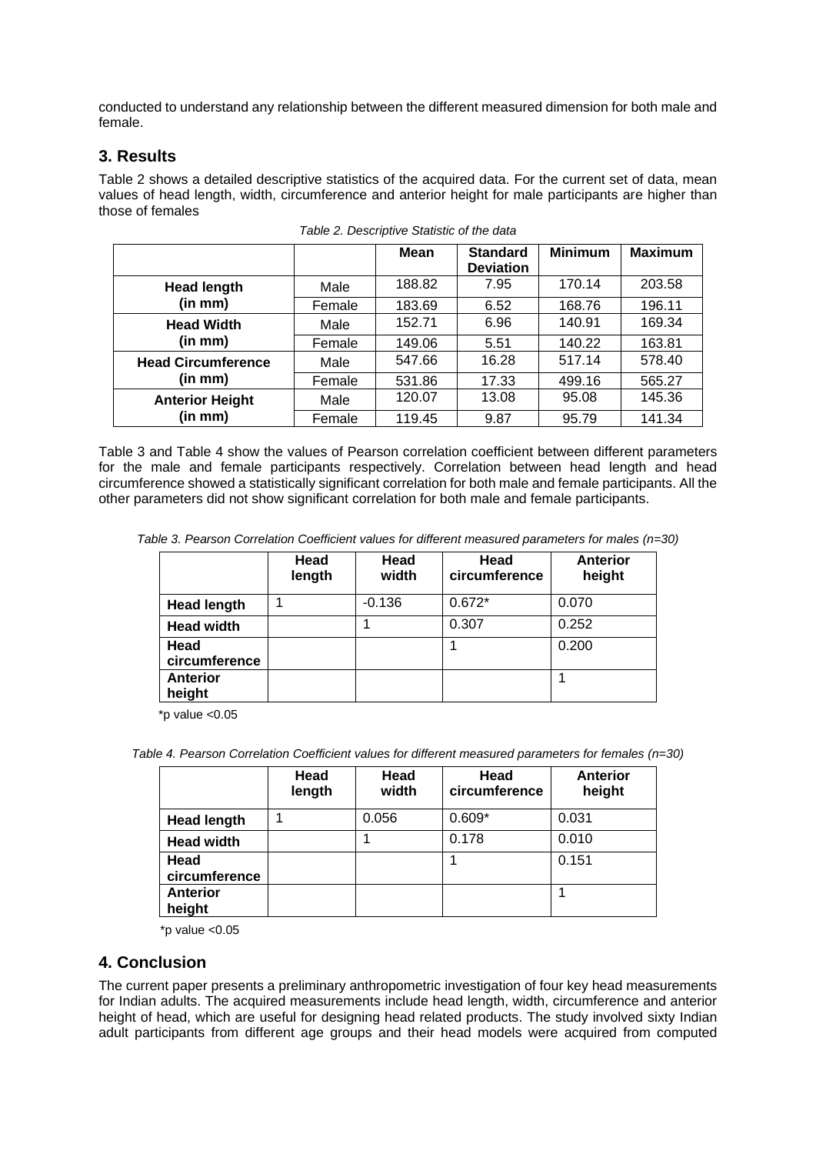conducted to understand any relationship between the different measured dimension for both male and female.

## **3. Results**

Table 2 shows a detailed descriptive statistics of the acquired data. For the current set of data, mean values of head length, width, circumference and anterior height for male participants are higher than those of females

|                           |        | <b>Mean</b> | <b>Standard</b>  | <b>Minimum</b> | <b>Maximum</b> |
|---------------------------|--------|-------------|------------------|----------------|----------------|
|                           |        |             | <b>Deviation</b> |                |                |
| <b>Head length</b>        | Male   | 188.82      | 7.95             | 170.14         | 203.58         |
| (in mm)                   | Female | 183.69      | 6.52             | 168.76         | 196.11         |
| <b>Head Width</b>         | Male   | 152.71      | 6.96             | 140.91         | 169.34         |
| (in mm)                   | Female | 149.06      | 5.51             | 140.22         | 163.81         |
| <b>Head Circumference</b> | Male   | 547.66      | 16.28            | 517.14         | 578.40         |
| (in mm)                   | Female | 531.86      | 17.33            | 499.16         | 565.27         |
| <b>Anterior Height</b>    | Male   | 120.07      | 13.08            | 95.08          | 145.36         |
| (in mm)                   | Female | 119.45      | 9.87             | 95.79          | 141.34         |

*Table 2. Descriptive Statistic of the data*

Table 3 and Table 4 show the values of Pearson correlation coefficient between different parameters for the male and female participants respectively. Correlation between head length and head circumference showed a statistically significant correlation for both male and female participants. All the other parameters did not show significant correlation for both male and female participants.

*Table 3. Pearson Correlation Coefficient values for different measured parameters for males (n=30)*

|                           | Head<br>length | Head<br>width | Head<br>circumference | <b>Anterior</b><br>height |
|---------------------------|----------------|---------------|-----------------------|---------------------------|
| <b>Head length</b>        |                | $-0.136$      | $0.672*$              | 0.070                     |
| <b>Head width</b>         |                |               | 0.307                 | 0.252                     |
| Head<br>circumference     |                |               |                       | 0.200                     |
| <b>Anterior</b><br>height |                |               |                       |                           |

\*p value <0.05

*Table 4. Pearson Correlation Coefficient values for different measured parameters for females (n=30)*

|                           | Head<br>length | Head<br>width | Head<br>circumference | <b>Anterior</b><br>height |
|---------------------------|----------------|---------------|-----------------------|---------------------------|
| <b>Head length</b>        |                | 0.056         | $0.609*$              | 0.031                     |
| <b>Head width</b>         |                |               | 0.178                 | 0.010                     |
| Head<br>circumference     |                |               |                       | 0.151                     |
| <b>Anterior</b><br>height |                |               |                       |                           |

 $*$ p value < $0.05$ 

## **4. Conclusion**

The current paper presents a preliminary anthropometric investigation of four key head measurements for Indian adults. The acquired measurements include head length, width, circumference and anterior height of head, which are useful for designing head related products. The study involved sixty Indian adult participants from different age groups and their head models were acquired from computed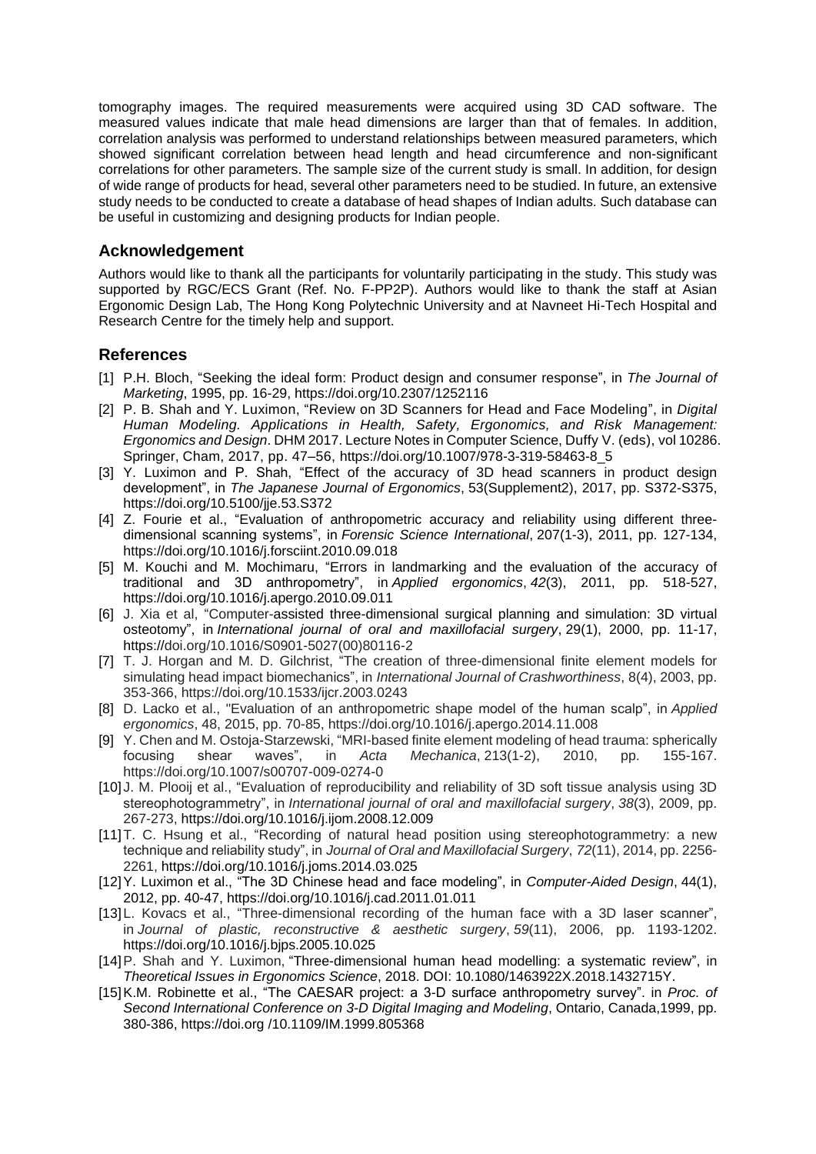tomography images. The required measurements were acquired using 3D CAD software. The measured values indicate that male head dimensions are larger than that of females. In addition, correlation analysis was performed to understand relationships between measured parameters, which showed significant correlation between head length and head circumference and non-significant correlations for other parameters. The sample size of the current study is small. In addition, for design of wide range of products for head, several other parameters need to be studied. In future, an extensive study needs to be conducted to create a database of head shapes of Indian adults. Such database can be useful in customizing and designing products for Indian people.

## **Acknowledgement**

Authors would like to thank all the participants for voluntarily participating in the study. This study was supported by RGC/ECS Grant (Ref. No. F-PP2P). Authors would like to thank the staff at Asian Ergonomic Design Lab, The Hong Kong Polytechnic University and at Navneet Hi-Tech Hospital and Research Centre for the timely help and support.

## **References**

- [1] P.H. Bloch, "Seeking the ideal form: Product design and consumer response", in *The Journal of Marketing*, 1995, pp. 16-29, https://doi.org/10.2307/1252116
- [2] P. B. Shah and Y. Luximon, "Review on 3D Scanners for Head and Face Modeling", in *Digital Human Modeling. Applications in Health, Safety, Ergonomics, and Risk Management: Ergonomics and Design*. DHM 2017. Lecture Notes in Computer Science, Duffy V. (eds), vol 10286. Springer, Cham, 2017, pp. 47–56, https://doi.org/10.1007/978-3-319-58463-8\_5
- [3] Y. Luximon and P. Shah, "Effect of the accuracy of 3D head scanners in product design development", in *The Japanese Journal of Ergonomics*, 53(Supplement2), 2017, pp. S372-S375, https://doi.org/10.5100/jie.53.S372
- [4] Z. Fourie et al., "Evaluation of anthropometric accuracy and reliability using different threedimensional scanning systems", in *Forensic Science International*, 207(1-3), 2011, pp. 127-134, https://doi.org/10.1016/j.forsciint.2010.09.018
- [5] M. Kouchi and M. Mochimaru, "Errors in landmarking and the evaluation of the accuracy of traditional and 3D anthropometry", in *Applied ergonomics*, *42*(3), 2011, pp. 518-527, https://doi.org/10.1016/j.apergo.2010.09.011
- [6] J. Xia et al, "Computer-assisted three-dimensional surgical planning and simulation: 3D virtual osteotomy", in *International journal of oral and maxillofacial surgery*, 29(1), 2000, pp. 11-17, https://doi.org/10.1016/S0901-5027(00)80116-2
- [7] T. J. Horgan and M. D. Gilchrist, "The creation of three-dimensional finite element models for simulating head impact biomechanics", in *International Journal of Crashworthiness*, 8(4), 2003, pp. 353-366, https://doi.org/10.1533/ijcr.2003.0243
- [8] D. Lacko et al., "Evaluation of an anthropometric shape model of the human scalp", in *Applied ergonomics*, 48, 2015, pp. 70-85, https://doi.org/10.1016/j.apergo.2014.11.008
- [9] Y. Chen and M. Ostoja-Starzewski, "MRI-based finite element modeling of head trauma: spherically focusing shear waves", in *Acta Mechanica*, 213(1-2), 2010, pp. 155-167. https://doi.org/10.1007/s00707-009-0274-0
- [10] J. M. Plooij et al., "Evaluation of reproducibility and reliability of 3D soft tissue analysis using 3D stereophotogrammetry", in *International journal of oral and maxillofacial surgery*, *38*(3), 2009, pp. 267-273, https://doi.org/10.1016/j.ijom.2008.12.009
- [11]T. C. Hsung et al., "Recording of natural head position using stereophotogrammetry: a new technique and reliability study", in *Journal of Oral and Maxillofacial Surgery*, *72*(11), 2014, pp. 2256- 2261, https://doi.org/10.1016/j.joms.2014.03.025
- [12]Y. Luximon et al., "The 3D Chinese head and face modeling", in *Computer-Aided Design*, 44(1), 2012, pp. 40-47, https://doi.org/10.1016/j.cad.2011.01.011
- [13] L. Kovacs et al., "Three-dimensional recording of the human face with a 3D laser scanner", in *Journal of plastic, reconstructive & aesthetic surgery*, *59*(11), 2006, pp. 1193-1202. https://doi.org/10.1016/j.bjps.2005.10.025
- [14]P. Shah and Y. Luximon, "Three-dimensional human head modelling: a systematic review", in *Theoretical Issues in Ergonomics Science*, 2018. DOI: 10.1080/1463922X.2018.1432715Y.
- [15]K.M. Robinette et al., "The CAESAR project: a 3-D surface anthropometry survey". in *Proc. of Second International Conference on 3-D Digital Imaging and Modeling*, Ontario, Canada,1999, pp. 380-386, https://doi.org /10.1109/IM.1999.805368